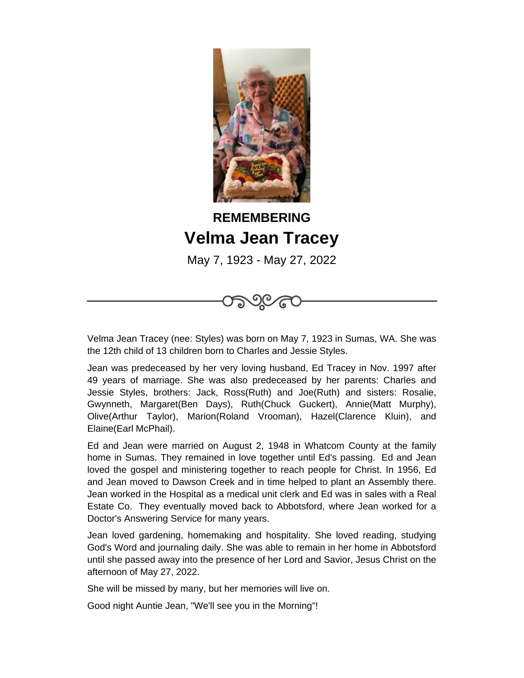

## **REMEMBERING Velma Jean Tracey**

May 7, 1923 - May 27, 2022

ಗಾಂ್ರೀ



Jean was predeceased by her very loving husband, Ed Tracey in Nov. 1997 after 49 years of marriage. She was also predeceased by her parents: Charles and Jessie Styles, brothers: Jack, Ross(Ruth) and Joe(Ruth) and sisters: Rosalie, Gwynneth, Margaret(Ben Days), Ruth(Chuck Guckert), Annie(Matt Murphy), Olive(Arthur Taylor), Marion(Roland Vrooman), Hazel(Clarence Kluin), and Elaine(Earl McPhail).

Ed and Jean were married on August 2, 1948 in Whatcom County at the family home in Sumas. They remained in love together until Ed's passing. Ed and Jean loved the gospel and ministering together to reach people for Christ. In 1956, Ed and Jean moved to Dawson Creek and in time helped to plant an Assembly there. Jean worked in the Hospital as a medical unit clerk and Ed was in sales with a Real Estate Co. They eventually moved back to Abbotsford, where Jean worked for a Doctor's Answering Service for many years.

Jean loved gardening, homemaking and hospitality. She loved reading, studying God's Word and journaling daily. She was able to remain in her home in Abbotsford until she passed away into the presence of her Lord and Savior, Jesus Christ on the afternoon of May 27, 2022.

She will be missed by many, but her memories will live on.

Good night Auntie Jean, "We'll see you in the Morning"!